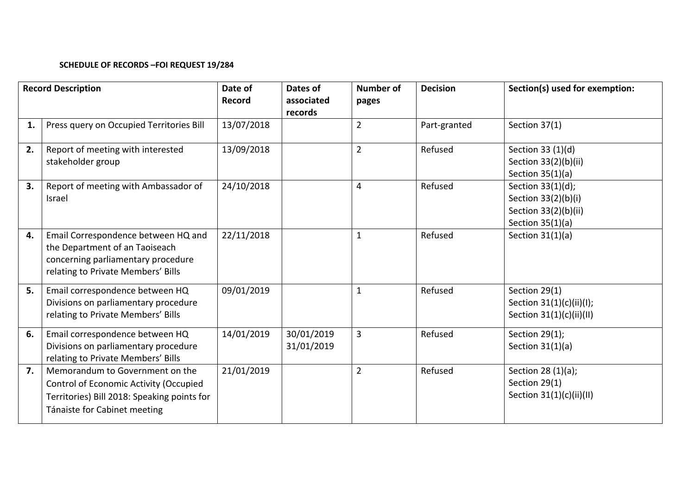## **SCHEDULE OF RECORDS –FOI REQUEST 19/284**

| <b>Record Description</b> |                                                                                                                                                          | Date of<br><b>Record</b> | Dates of<br>associated<br>records | <b>Number of</b><br>pages | <b>Decision</b> | Section(s) used for exemption:                                                         |
|---------------------------|----------------------------------------------------------------------------------------------------------------------------------------------------------|--------------------------|-----------------------------------|---------------------------|-----------------|----------------------------------------------------------------------------------------|
| 1.                        | Press query on Occupied Territories Bill                                                                                                                 | 13/07/2018               |                                   | 2                         | Part-granted    | Section 37(1)                                                                          |
| 2.                        | Report of meeting with interested<br>stakeholder group                                                                                                   | 13/09/2018               |                                   | $\overline{2}$            | Refused         | Section 33 (1)(d)<br>Section 33(2)(b)(ii)<br>Section $35(1)(a)$                        |
| 3.                        | Report of meeting with Ambassador of<br>Israel                                                                                                           | 24/10/2018               |                                   | 4                         | Refused         | Section 33(1)(d);<br>Section 33(2)(b)(i)<br>Section 33(2)(b)(ii)<br>Section $35(1)(a)$ |
| 4.                        | Email Correspondence between HQ and<br>the Department of an Taoiseach<br>concerning parliamentary procedure<br>relating to Private Members' Bills        | 22/11/2018               |                                   | $\mathbf{1}$              | Refused         | Section $31(1)(a)$                                                                     |
| 5.                        | Email correspondence between HQ<br>Divisions on parliamentary procedure<br>relating to Private Members' Bills                                            | 09/01/2019               |                                   | 1                         | Refused         | Section 29(1)<br>Section 31(1)(c)(ii)(l);<br>Section $31(1)(c)(ii)(II)$                |
| 6.                        | Email correspondence between HQ<br>Divisions on parliamentary procedure<br>relating to Private Members' Bills                                            | 14/01/2019               | 30/01/2019<br>31/01/2019          | 3                         | Refused         | Section 29(1);<br>Section $31(1)(a)$                                                   |
| 7.                        | Memorandum to Government on the<br>Control of Economic Activity (Occupied<br>Territories) Bill 2018: Speaking points for<br>Tánaiste for Cabinet meeting | 21/01/2019               |                                   | $\overline{2}$            | Refused         | Section 28 (1)(a);<br>Section 29(1)<br>Section 31(1)(c)(ii)(II)                        |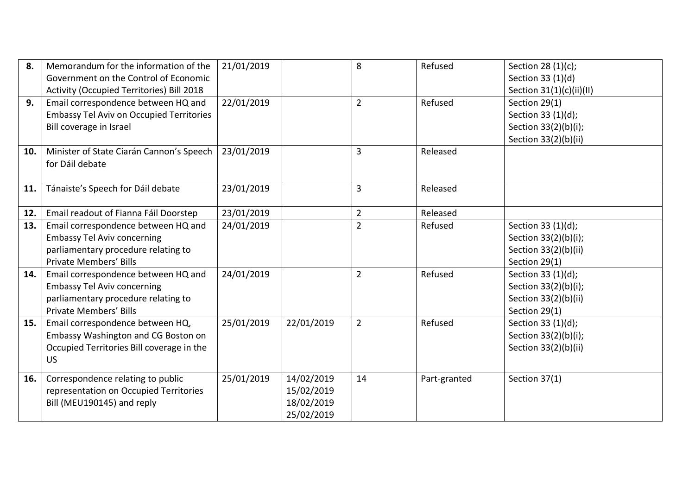| 8.  | Memorandum for the information of the<br>Government on the Control of Economic | 21/01/2019 |            | 8              | Refused      | Section 28 (1)(c);<br>Section 33 (1)(d) |
|-----|--------------------------------------------------------------------------------|------------|------------|----------------|--------------|-----------------------------------------|
|     | Activity (Occupied Territories) Bill 2018                                      |            |            |                |              | Section 31(1)(c)(ii)(II)                |
| 9.  | Email correspondence between HQ and                                            | 22/01/2019 |            | $\overline{2}$ | Refused      | Section 29(1)                           |
|     | <b>Embassy Tel Aviv on Occupied Territories</b>                                |            |            |                |              | Section 33 (1)(d);                      |
|     | Bill coverage in Israel                                                        |            |            |                |              | Section 33(2)(b)(i);                    |
|     |                                                                                |            |            |                |              | Section 33(2)(b)(ii)                    |
| 10. | Minister of State Ciarán Cannon's Speech<br>for Dáil debate                    | 23/01/2019 |            | 3              | Released     |                                         |
| 11. | Tánaiste's Speech for Dáil debate                                              | 23/01/2019 |            | 3              | Released     |                                         |
| 12. | Email readout of Fianna Fáil Doorstep                                          | 23/01/2019 |            | $\overline{2}$ | Released     |                                         |
| 13. | Email correspondence between HQ and                                            | 24/01/2019 |            | $\overline{2}$ | Refused      | Section 33 (1)(d);                      |
|     | <b>Embassy Tel Aviv concerning</b>                                             |            |            |                |              | Section 33(2)(b)(i);                    |
|     | parliamentary procedure relating to                                            |            |            |                |              | Section 33(2)(b)(ii)                    |
|     | <b>Private Members' Bills</b>                                                  |            |            |                |              | Section 29(1)                           |
| 14. | Email correspondence between HQ and                                            | 24/01/2019 |            | $\overline{2}$ | Refused      | Section 33 (1)(d);                      |
|     | <b>Embassy Tel Aviv concerning</b>                                             |            |            |                |              | Section 33(2)(b)(i);                    |
|     | parliamentary procedure relating to                                            |            |            |                |              | Section 33(2)(b)(ii)                    |
|     | <b>Private Members' Bills</b>                                                  |            |            |                |              | Section 29(1)                           |
| 15. | Email correspondence between HQ,                                               | 25/01/2019 | 22/01/2019 | $\overline{2}$ | Refused      | Section 33 (1)(d);                      |
|     | Embassy Washington and CG Boston on                                            |            |            |                |              | Section 33(2)(b)(i);                    |
|     | Occupied Territories Bill coverage in the                                      |            |            |                |              | Section 33(2)(b)(ii)                    |
|     | <b>US</b>                                                                      |            |            |                |              |                                         |
| 16. | Correspondence relating to public                                              | 25/01/2019 | 14/02/2019 | 14             | Part-granted | Section 37(1)                           |
|     | representation on Occupied Territories                                         |            | 15/02/2019 |                |              |                                         |
|     | Bill (MEU190145) and reply                                                     |            | 18/02/2019 |                |              |                                         |
|     |                                                                                |            | 25/02/2019 |                |              |                                         |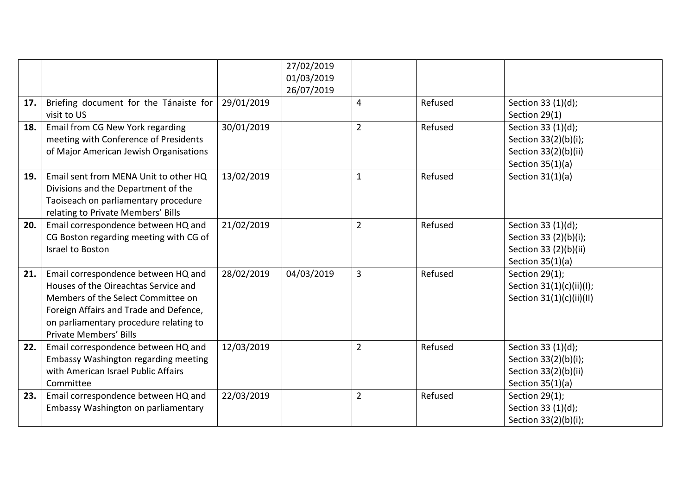|     |                                        |            | 27/02/2019<br>01/03/2019 |                |         |                          |
|-----|----------------------------------------|------------|--------------------------|----------------|---------|--------------------------|
|     |                                        |            | 26/07/2019               |                |         |                          |
| 17. | Briefing document for the Tánaiste for | 29/01/2019 |                          | 4              | Refused | Section 33 (1)(d);       |
|     | visit to US                            |            |                          |                |         | Section 29(1)            |
| 18. | Email from CG New York regarding       | 30/01/2019 |                          | $\overline{2}$ | Refused | Section 33 (1)(d);       |
|     | meeting with Conference of Presidents  |            |                          |                |         | Section 33(2)(b)(i);     |
|     | of Major American Jewish Organisations |            |                          |                |         | Section 33(2)(b)(ii)     |
|     |                                        |            |                          |                |         | Section $35(1)(a)$       |
| 19. | Email sent from MENA Unit to other HQ  | 13/02/2019 |                          | $\mathbf{1}$   | Refused | Section $31(1)(a)$       |
|     | Divisions and the Department of the    |            |                          |                |         |                          |
|     | Taoiseach on parliamentary procedure   |            |                          |                |         |                          |
|     | relating to Private Members' Bills     |            |                          |                |         |                          |
| 20. | Email correspondence between HQ and    | 21/02/2019 |                          | $\overline{2}$ | Refused | Section 33 (1)(d);       |
|     | CG Boston regarding meeting with CG of |            |                          |                |         | Section 33 (2)(b)(i);    |
|     | Israel to Boston                       |            |                          |                |         | Section 33 (2)(b)(ii)    |
|     |                                        |            |                          |                |         | Section $35(1)(a)$       |
| 21. | Email correspondence between HQ and    | 28/02/2019 | 04/03/2019               | $\overline{3}$ | Refused | Section 29(1);           |
|     | Houses of the Oireachtas Service and   |            |                          |                |         | Section 31(1)(c)(ii)(l); |
|     | Members of the Select Committee on     |            |                          |                |         | Section 31(1)(c)(ii)(II) |
|     | Foreign Affairs and Trade and Defence, |            |                          |                |         |                          |
|     | on parliamentary procedure relating to |            |                          |                |         |                          |
|     | <b>Private Members' Bills</b>          |            |                          |                |         |                          |
| 22. | Email correspondence between HQ and    | 12/03/2019 |                          | $\overline{2}$ | Refused | Section 33 (1)(d);       |
|     | Embassy Washington regarding meeting   |            |                          |                |         | Section 33(2)(b)(i);     |
|     | with American Israel Public Affairs    |            |                          |                |         | Section 33(2)(b)(ii)     |
|     | Committee                              |            |                          |                |         | Section $35(1)(a)$       |
| 23. | Email correspondence between HQ and    | 22/03/2019 |                          | $\overline{2}$ | Refused | Section 29(1);           |
|     | Embassy Washington on parliamentary    |            |                          |                |         | Section 33 (1)(d);       |
|     |                                        |            |                          |                |         | Section 33(2)(b)(i);     |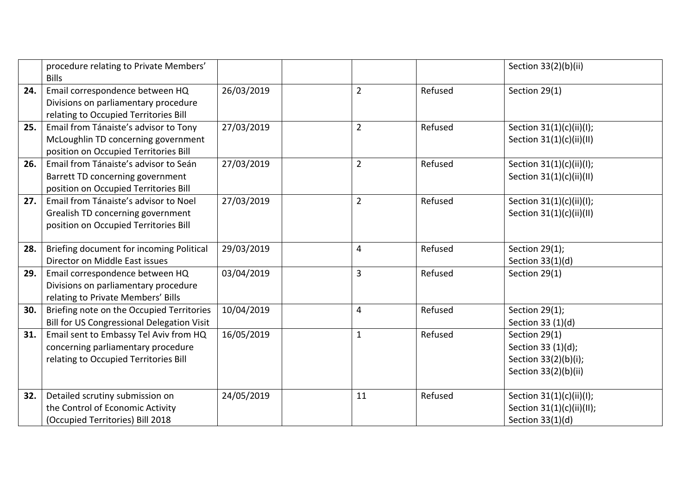|     | procedure relating to Private Members'            |            |                |         | Section 33(2)(b)(ii)       |
|-----|---------------------------------------------------|------------|----------------|---------|----------------------------|
|     | <b>Bills</b>                                      |            |                |         |                            |
| 24. | Email correspondence between HQ                   | 26/03/2019 | $\overline{2}$ | Refused | Section 29(1)              |
|     | Divisions on parliamentary procedure              |            |                |         |                            |
|     | relating to Occupied Territories Bill             |            |                |         |                            |
| 25. | Email from Tánaiste's advisor to Tony             | 27/03/2019 | $\overline{2}$ | Refused | Section 31(1)(c)(ii)(l);   |
|     | McLoughlin TD concerning government               |            |                |         | Section $31(1)(c)(ii)(II)$ |
|     | position on Occupied Territories Bill             |            |                |         |                            |
| 26. | Email from Tánaiste's advisor to Seán             | 27/03/2019 | $\overline{2}$ | Refused | Section 31(1)(c)(ii)(l);   |
|     | Barrett TD concerning government                  |            |                |         | Section 31(1)(c)(ii)(II)   |
|     | position on Occupied Territories Bill             |            |                |         |                            |
| 27. | Email from Tánaiste's advisor to Noel             | 27/03/2019 | $\overline{2}$ | Refused | Section 31(1)(c)(ii)(l);   |
|     | Grealish TD concerning government                 |            |                |         | Section 31(1)(c)(ii)(II)   |
|     | position on Occupied Territories Bill             |            |                |         |                            |
|     |                                                   |            |                |         |                            |
| 28. | Briefing document for incoming Political          | 29/03/2019 | $\overline{4}$ | Refused | Section 29(1);             |
|     | Director on Middle East issues                    |            |                |         | Section $33(1)(d)$         |
| 29. | Email correspondence between HQ                   | 03/04/2019 | $\overline{3}$ | Refused | Section 29(1)              |
|     | Divisions on parliamentary procedure              |            |                |         |                            |
|     | relating to Private Members' Bills                |            |                |         |                            |
| 30. | Briefing note on the Occupied Territories         | 10/04/2019 | $\overline{4}$ | Refused | Section 29(1);             |
|     | <b>Bill for US Congressional Delegation Visit</b> |            |                |         | Section 33 (1)(d)          |
| 31. | Email sent to Embassy Tel Aviv from HQ            | 16/05/2019 | $\mathbf{1}$   | Refused | Section 29(1)              |
|     | concerning parliamentary procedure                |            |                |         | Section 33 (1)(d);         |
|     | relating to Occupied Territories Bill             |            |                |         | Section 33(2)(b)(i);       |
|     |                                                   |            |                |         | Section 33(2)(b)(ii)       |
|     |                                                   |            |                |         |                            |
| 32. | Detailed scrutiny submission on                   | 24/05/2019 | 11             | Refused | Section 31(1)(c)(ii)(l);   |
|     | the Control of Economic Activity                  |            |                |         | Section 31(1)(c)(ii)(II);  |
|     | (Occupied Territories) Bill 2018                  |            |                |         | Section $33(1)(d)$         |